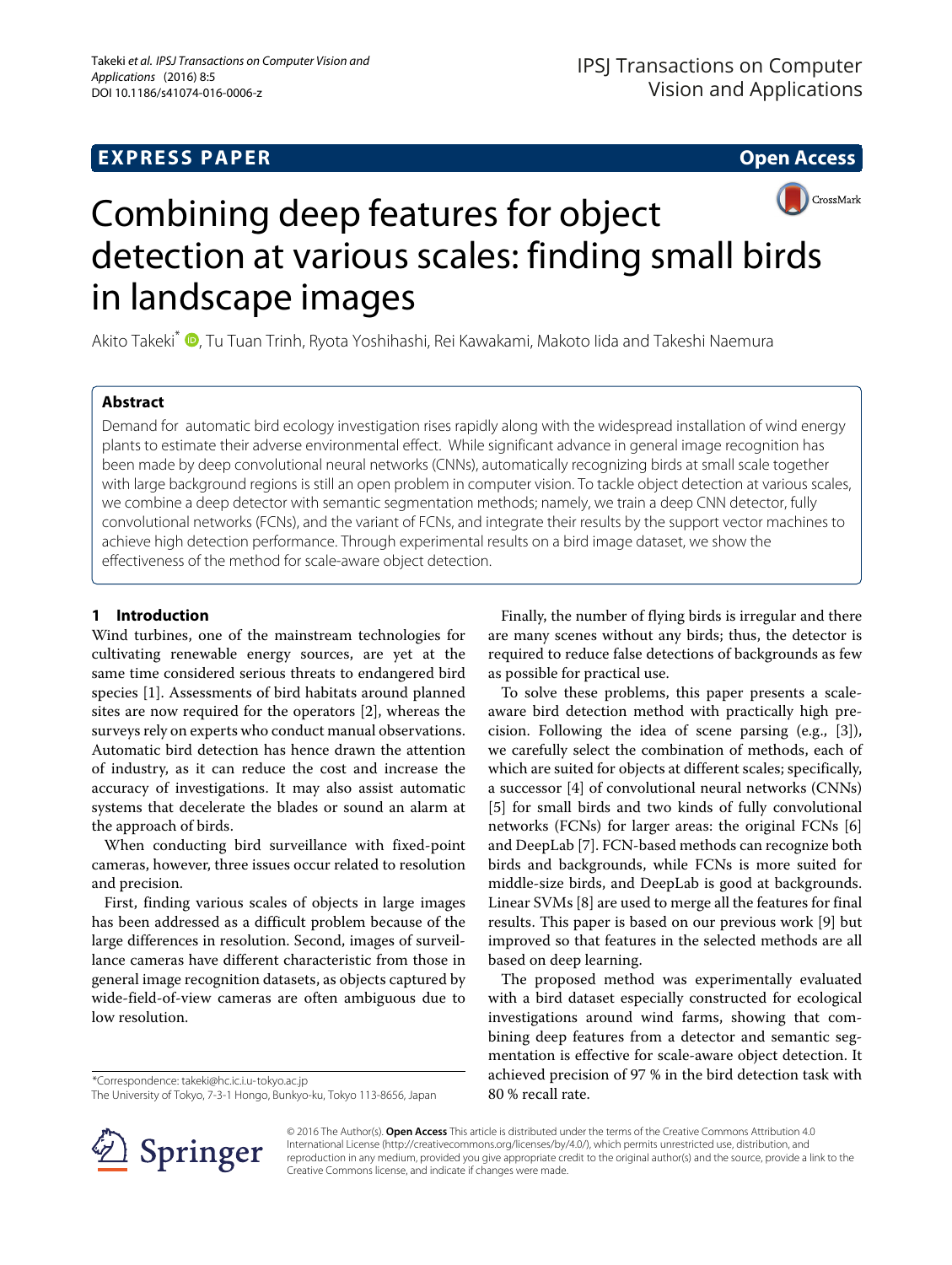# **EXPRESS PAPER Open Access**



# Combining deep features for object detection at various scales: finding small birds in landscape images

Akito Takeki<sup>\*</sup> <sup>(D</sup>[,](http://orcid.org/0000-0001-7465-1752) Tu Tuan Trinh, Ryota Yoshihashi, Rei Kawakami, Makoto Iida and Takeshi Naemura

# **Abstract**

Demand for automatic bird ecology investigation rises rapidly along with the widespread installation of wind energy plants to estimate their adverse environmental effect. While significant advance in general image recognition has been made by deep convolutional neural networks (CNNs), automatically recognizing birds at small scale together with large background regions is still an open problem in computer vision. To tackle object detection at various scales, we combine a deep detector with semantic segmentation methods; namely, we train a deep CNN detector, fully convolutional networks (FCNs), and the variant of FCNs, and integrate their results by the support vector machines to achieve high detection performance. Through experimental results on a bird image dataset, we show the effectiveness of the method for scale-aware object detection.

# **1 Introduction**

Wind turbines, one of the mainstream technologies for cultivating renewable energy sources, are yet at the same time considered serious threats to endangered bird species [\[1\]](#page-5-0). Assessments of bird habitats around planned sites are now required for the operators [\[2\]](#page-5-1), whereas the surveys rely on experts who conduct manual observations. Automatic bird detection has hence drawn the attention of industry, as it can reduce the cost and increase the accuracy of investigations. It may also assist automatic systems that decelerate the blades or sound an alarm at the approach of birds.

When conducting bird surveillance with fixed-point cameras, however, three issues occur related to resolution and precision.

First, finding various scales of objects in large images has been addressed as a difficult problem because of the large differences in resolution. Second, images of surveillance cameras have different characteristic from those in general image recognition datasets, as objects captured by wide-field-of-view cameras are often ambiguous due to low resolution.

\*Correspondence: [takeki@hc.ic.i.u-tokyo.ac.jp](mailto: takeki@hc.ic.i.u-tokyo.ac.jp)

The University of Tokyo, 7-3-1 Hongo, Bunkyo-ku, Tokyo 113-8656, Japan

Finally, the number of flying birds is irregular and there are many scenes without any birds; thus, the detector is required to reduce false detections of backgrounds as few as possible for practical use.

To solve these problems, this paper presents a scaleaware bird detection method with practically high precision. Following the idea of scene parsing (e.g., [\[3\]](#page-5-2)), we carefully select the combination of methods, each of which are suited for objects at different scales; specifically, a successor [\[4\]](#page-5-3) of convolutional neural networks (CNNs) [\[5\]](#page-5-4) for small birds and two kinds of fully convolutional networks (FCNs) for larger areas: the original FCNs [\[6\]](#page-5-5) and DeepLab [\[7\]](#page-5-6). FCN-based methods can recognize both birds and backgrounds, while FCNs is more suited for middle-size birds, and DeepLab is good at backgrounds. Linear SVMs [\[8\]](#page-5-7) are used to merge all the features for final results. This paper is based on our previous work [\[9\]](#page-5-8) but improved so that features in the selected methods are all based on deep learning.

The proposed method was experimentally evaluated with a bird dataset especially constructed for ecological investigations around wind farms, showing that combining deep features from a detector and semantic segmentation is effective for scale-aware object detection. It achieved precision of 97 % in the bird detection task with 80 % recall rate.



© 2016 The Author(s). **Open Access** This article is distributed under the terms of the Creative Commons Attribution 4.0 International License [\(http://creativecommons.org/licenses/by/4.0/\)](http://creativecommons.org/licenses/by/4.0/), which permits unrestricted use, distribution, and reproduction in any medium, provided you give appropriate credit to the original author(s) and the source, provide a link to the Creative Commons license, and indicate if changes were made.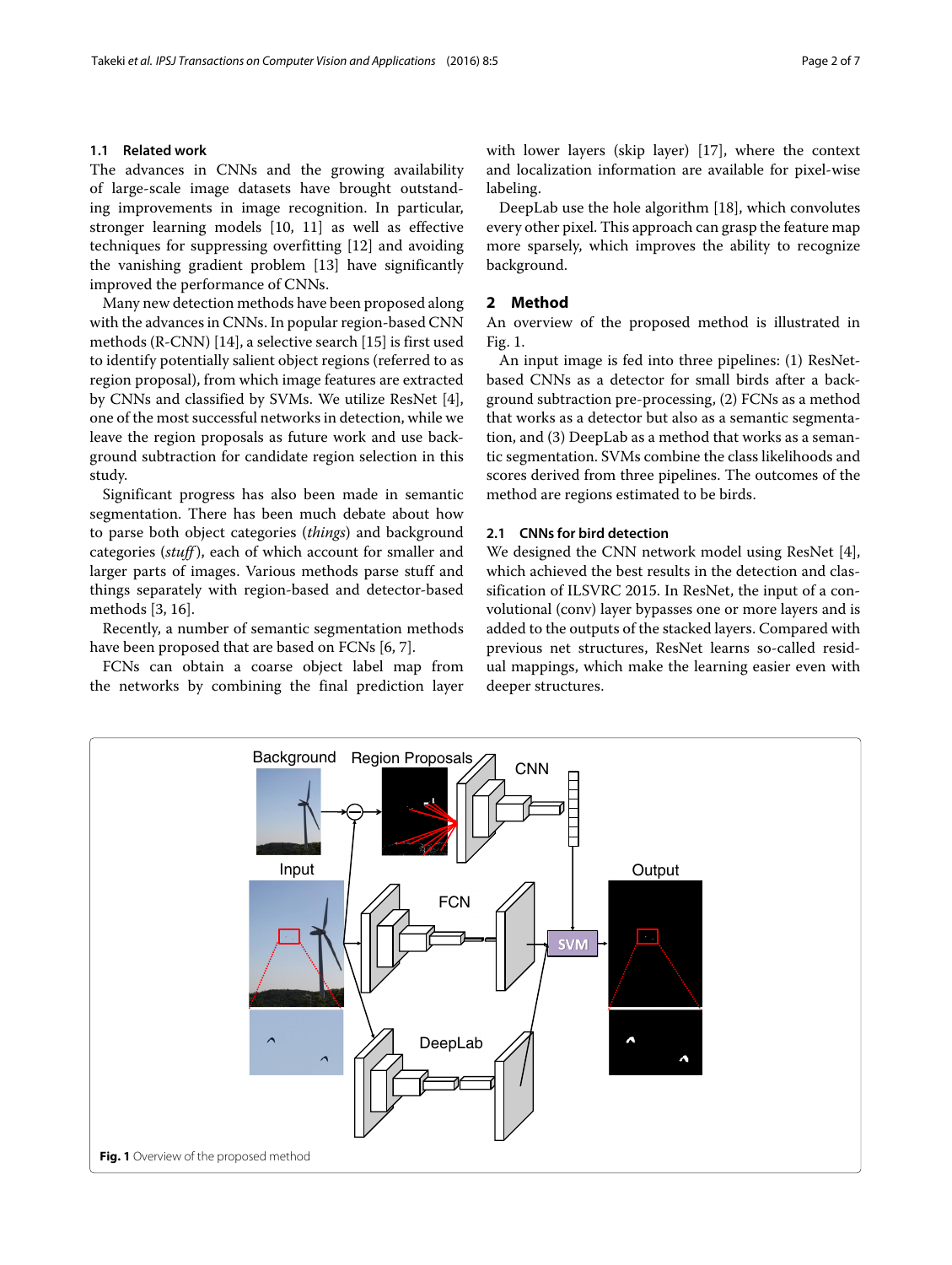# **1.1 Related work**

The advances in CNNs and the growing availability of large-scale image datasets have brought outstanding improvements in image recognition. In particular, stronger learning models [\[10,](#page-5-9) [11\]](#page-6-0) as well as effective techniques for suppressing overfitting [\[12\]](#page-6-1) and avoiding the vanishing gradient problem [\[13\]](#page-6-2) have significantly improved the performance of CNNs.

Many new detection methods have been proposed along with the advances in CNNs. In popular region-based CNN methods (R-CNN) [\[14\]](#page-6-3), a selective search [\[15\]](#page-6-4) is first used to identify potentially salient object regions (referred to as region proposal), from which image features are extracted by CNNs and classified by SVMs. We utilize ResNet [\[4\]](#page-5-3), one of the most successful networks in detection, while we leave the region proposals as future work and use background subtraction for candidate region selection in this study.

Significant progress has also been made in semantic segmentation. There has been much debate about how to parse both object categories (*things*) and background categories (*stuff* ), each of which account for smaller and larger parts of images. Various methods parse stuff and things separately with region-based and detector-based methods [\[3,](#page-5-2) [16\]](#page-6-5).

Recently, a number of semantic segmentation methods have been proposed that are based on FCNs [\[6,](#page-5-5) [7\]](#page-5-6).

FCNs can obtain a coarse object label map from the networks by combining the final prediction layer with lower layers (skip layer) [\[17\]](#page-6-6), where the context and localization information are available for pixel-wise labeling.

DeepLab use the hole algorithm [\[18\]](#page-6-7), which convolutes every other pixel. This approach can grasp the feature map more sparsely, which improves the ability to recognize background.

#### **2 Method**

An overview of the proposed method is illustrated in Fig. [1.](#page-1-0)

An input image is fed into three pipelines: (1) ResNetbased CNNs as a detector for small birds after a background subtraction pre-processing, (2) FCNs as a method that works as a detector but also as a semantic segmentation, and (3) DeepLab as a method that works as a semantic segmentation. SVMs combine the class likelihoods and scores derived from three pipelines. The outcomes of the method are regions estimated to be birds.

# **2.1 CNNs for bird detection**

We designed the CNN network model using ResNet [\[4\]](#page-5-3), which achieved the best results in the detection and classification of ILSVRC 2015. In ResNet, the input of a convolutional (conv) layer bypasses one or more layers and is added to the outputs of the stacked layers. Compared with previous net structures, ResNet learns so-called residual mappings, which make the learning easier even with deeper structures.

<span id="page-1-0"></span>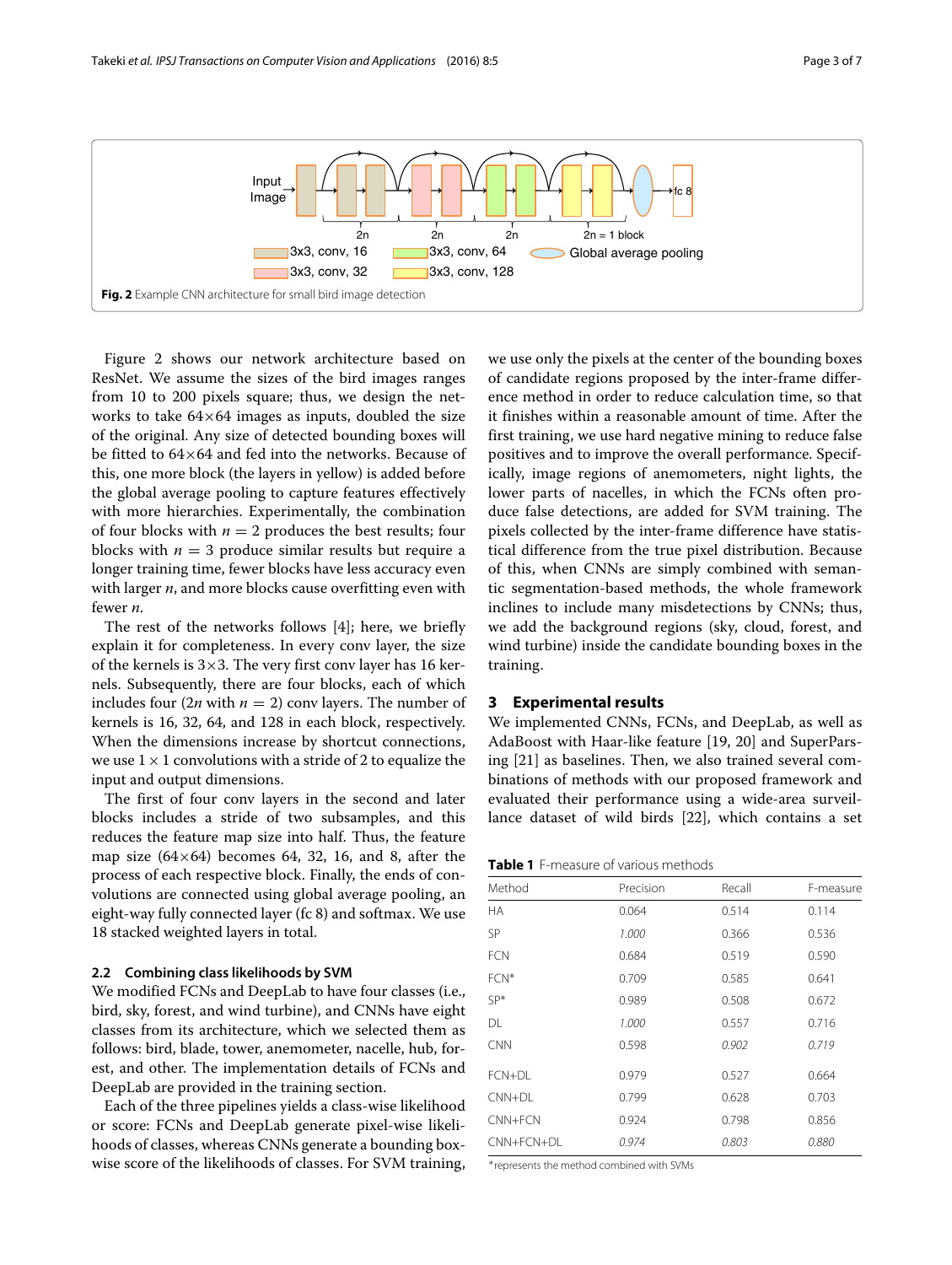

<span id="page-2-0"></span>Figure [2](#page-2-0) shows our network architecture based on ResNet. We assume the sizes of the bird images ranges from 10 to 200 pixels square; thus, we design the networks to take  $64\times64$  images as inputs, doubled the size of the original. Any size of detected bounding boxes will be fitted to 64×64 and fed into the networks. Because of this, one more block (the layers in yellow) is added before the global average pooling to capture features effectively with more hierarchies. Experimentally, the combination of four blocks with  $n = 2$  produces the best results; four blocks with  $n = 3$  produce similar results but require a longer training time, fewer blocks have less accuracy even with larger *n*, and more blocks cause overfitting even with fewer *n*.

The rest of the networks follows [\[4\]](#page-5-3); here, we briefly explain it for completeness. In every conv layer, the size of the kernels is  $3\times3$ . The very first conv layer has 16 kernels. Subsequently, there are four blocks, each of which includes four  $(2n \text{ with } n = 2)$  conv layers. The number of kernels is 16, 32, 64, and 128 in each block, respectively. When the dimensions increase by shortcut connections, we use  $1 \times 1$  convolutions with a stride of 2 to equalize the input and output dimensions.

The first of four conv layers in the second and later blocks includes a stride of two subsamples, and this reduces the feature map size into half. Thus, the feature map size  $(64\times64)$  becomes 64, 32, 16, and 8, after the process of each respective block. Finally, the ends of convolutions are connected using global average pooling, an eight-way fully connected layer (fc 8) and softmax. We use 18 stacked weighted layers in total.

#### **2.2 Combining class likelihoods by SVM**

We modified FCNs and DeepLab to have four classes (i.e., bird, sky, forest, and wind turbine), and CNNs have eight classes from its architecture, which we selected them as follows: bird, blade, tower, anemometer, nacelle, hub, forest, and other. The implementation details of FCNs and DeepLab are provided in the training section.

Each of the three pipelines yields a class-wise likelihood or score: FCNs and DeepLab generate pixel-wise likelihoods of classes, whereas CNNs generate a bounding boxwise score of the likelihoods of classes. For SVM training, we use only the pixels at the center of the bounding boxes of candidate regions proposed by the inter-frame difference method in order to reduce calculation time, so that it finishes within a reasonable amount of time. After the first training, we use hard negative mining to reduce false positives and to improve the overall performance. Specifically, image regions of anemometers, night lights, the lower parts of nacelles, in which the FCNs often produce false detections, are added for SVM training. The pixels collected by the inter-frame difference have statistical difference from the true pixel distribution. Because of this, when CNNs are simply combined with semantic segmentation-based methods, the whole framework inclines to include many misdetections by CNNs; thus, we add the background regions (sky, cloud, forest, and wind turbine) inside the candidate bounding boxes in the training.

#### **3 Experimental results**

We implemented CNNs, FCNs, and DeepLab, as well as AdaBoost with Haar-like feature [\[19,](#page-6-8) [20\]](#page-6-9) and SuperParsing [\[21\]](#page-6-10) as baselines. Then, we also trained several combinations of methods with our proposed framework and evaluated their performance using a wide-area surveillance dataset of wild birds [\[22\]](#page-6-11), which contains a set

**Table 1** F-measure of various methods

<span id="page-2-1"></span>

| Method      | Precision | Recall | F-measure |
|-------------|-----------|--------|-----------|
| <b>HA</b>   | 0.064     | 0.514  | 0.114     |
| SP          | 1.000     | 0.366  | 0.536     |
| <b>FCN</b>  | 0.684     | 0.519  | 0.590     |
| $FCN*$      | 0.709     | 0.585  | 0.641     |
| $SP*$       | 0.989     | 0.508  | 0.672     |
| DL.         | 1.000     | 0.557  | 0.716     |
| <b>CNN</b>  | 0.598     | 0.902  | 0.719     |
| $FCN+DI$    | 0.979     | 0.527  | 0.664     |
| $CNN+DI$    | 0.799     | 0.628  | 0.703     |
| $CNN + FCN$ | 0.924     | 0.798  | 0.856     |
| CNN+FCN+DL  | 0.974     | 0.803  | 0.880     |

∗represents the method combined with SVMs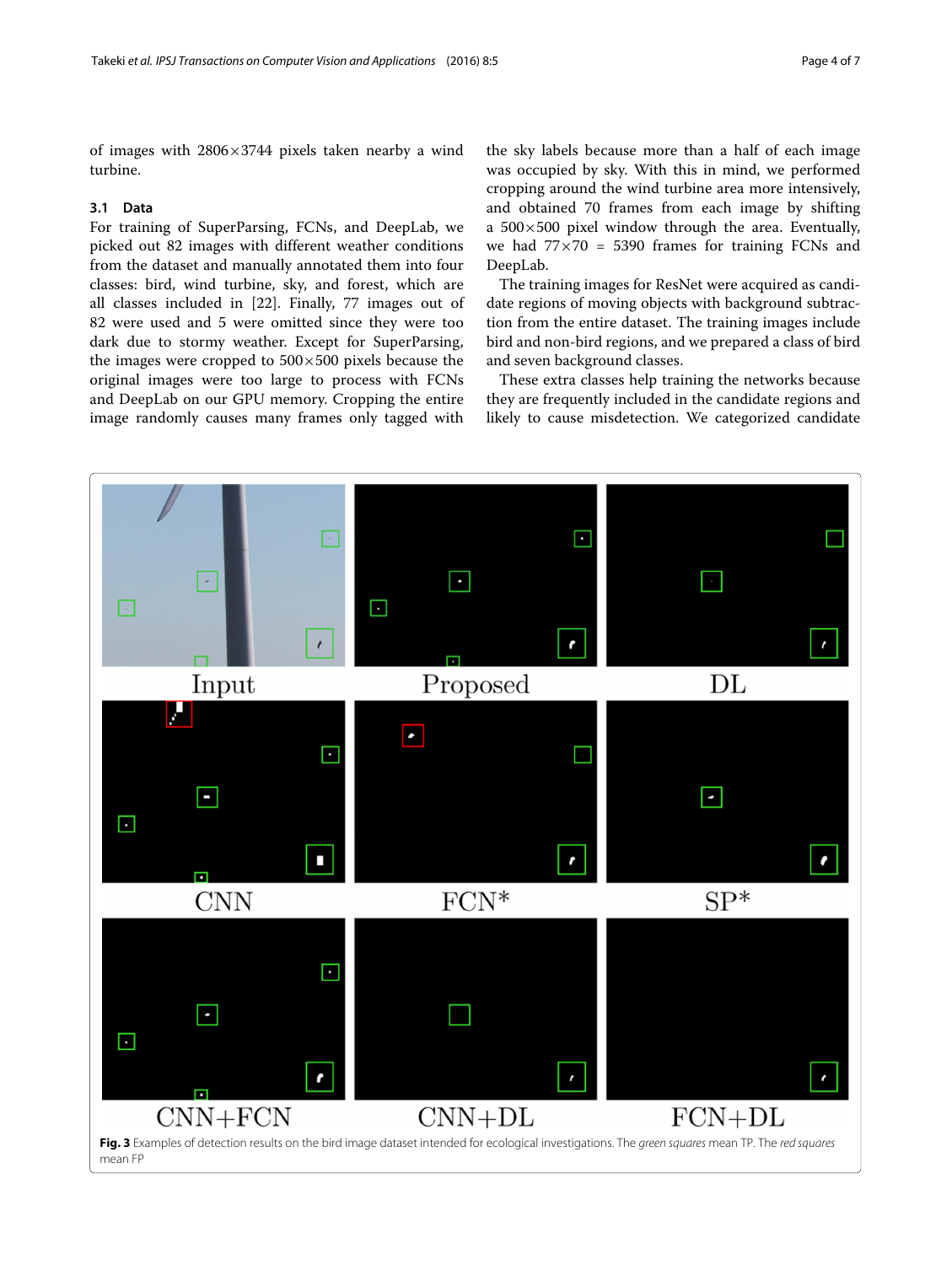of images with  $2806\times3744$  pixels taken nearby a wind turbine.

# **3.1 Data**

For training of SuperParsing, FCNs, and DeepLab, we picked out 82 images with different weather conditions from the dataset and manually annotated them into four classes: bird, wind turbine, sky, and forest, which are all classes included in [\[22\]](#page-6-11). Finally, 77 images out of 82 were used and 5 were omitted since they were too dark due to stormy weather. Except for SuperParsing, the images were cropped to  $500 \times 500$  pixels because the original images were too large to process with FCNs and DeepLab on our GPU memory. Cropping the entire image randomly causes many frames only tagged with the sky labels because more than a half of each image was occupied by sky. With this in mind, we performed cropping around the wind turbine area more intensively, and obtained 70 frames from each image by shifting a 500×500 pixel window through the area. Eventually, we had  $77 \times 70 = 5390$  frames for training FCNs and DeepLab.

The training images for ResNet were acquired as candidate regions of moving objects with background subtraction from the entire dataset. The training images include bird and non-bird regions, and we prepared a class of bird and seven background classes.

These extra classes help training the networks because they are frequently included in the candidate regions and likely to cause misdetection. We categorized candidate

<span id="page-3-0"></span>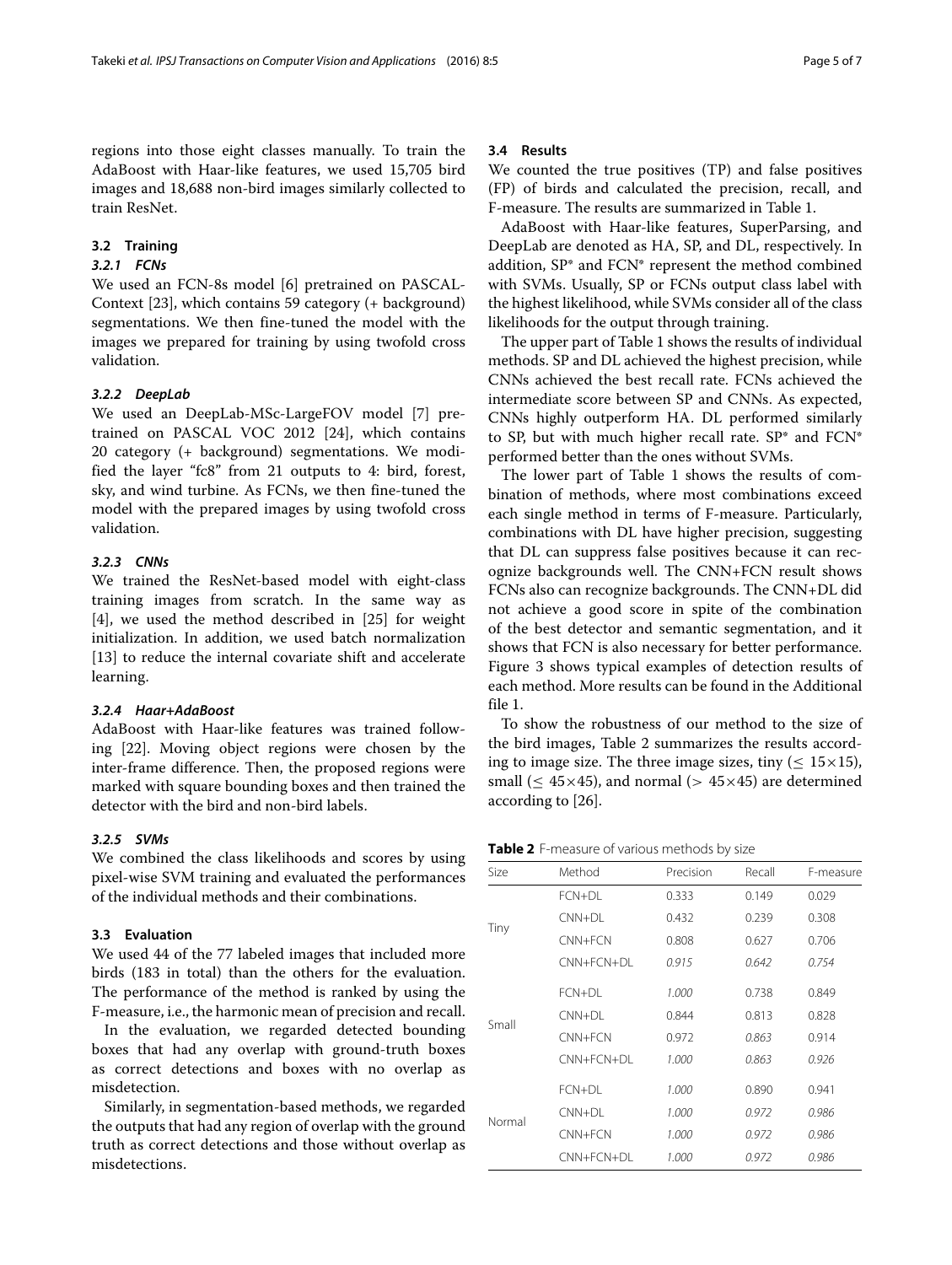regions into those eight classes manually. To train the AdaBoost with Haar-like features, we used 15,705 bird images and 18,688 non-bird images similarly collected to train ResNet.

#### **3.2 Training**

# *3.2.1 FCNs*

We used an FCN-8s model [\[6\]](#page-5-5) pretrained on PASCAL-Context [\[23\]](#page-6-12), which contains 59 category (+ background) segmentations. We then fine-tuned the model with the images we prepared for training by using twofold cross validation.

## *3.2.2 DeepLab*

We used an DeepLab-MSc-LargeFOV model [\[7\]](#page-5-6) pretrained on PASCAL VOC 2012 [\[24\]](#page-6-13), which contains 20 category (+ background) segmentations. We modified the layer "fc8" from 21 outputs to 4: bird, forest, sky, and wind turbine. As FCNs, we then fine-tuned the model with the prepared images by using twofold cross validation.

### *3.2.3 CNNs*

We trained the ResNet-based model with eight-class training images from scratch. In the same way as [\[4\]](#page-5-3), we used the method described in [\[25\]](#page-6-14) for weight initialization. In addition, we used batch normalization [\[13\]](#page-6-2) to reduce the internal covariate shift and accelerate learning.

## *3.2.4 Haar+AdaBoost*

AdaBoost with Haar-like features was trained following [\[22\]](#page-6-11). Moving object regions were chosen by the inter-frame difference. Then, the proposed regions were marked with square bounding boxes and then trained the detector with the bird and non-bird labels.

#### *3.2.5 SVMs*

We combined the class likelihoods and scores by using pixel-wise SVM training and evaluated the performances of the individual methods and their combinations.

#### **3.3 Evaluation**

We used 44 of the 77 labeled images that included more birds (183 in total) than the others for the evaluation. The performance of the method is ranked by using the F-measure, i.e., the harmonic mean of precision and recall.

In the evaluation, we regarded detected bounding boxes that had any overlap with ground-truth boxes as correct detections and boxes with no overlap as misdetection.

Similarly, in segmentation-based methods, we regarded the outputs that had any region of overlap with the ground truth as correct detections and those without overlap as misdetections.

#### **3.4 Results**

We counted the true positives (TP) and false positives (FP) of birds and calculated the precision, recall, and F-measure. The results are summarized in Table [1.](#page-2-1)

AdaBoost with Haar-like features, SuperParsing, and DeepLab are denoted as HA, SP, and DL, respectively. In addition, SP\* and FCN\* represent the method combined with SVMs. Usually, SP or FCNs output class label with the highest likelihood, while SVMs consider all of the class likelihoods for the output through training.

The upper part of Table [1](#page-2-1) shows the results of individual methods. SP and DL achieved the highest precision, while CNNs achieved the best recall rate. FCNs achieved the intermediate score between SP and CNNs. As expected, CNNs highly outperform HA. DL performed similarly to SP, but with much higher recall rate.  $SP^*$  and  $FCN^*$ performed better than the ones without SVMs.

The lower part of Table [1](#page-2-1) shows the results of combination of methods, where most combinations exceed each single method in terms of F-measure. Particularly, combinations with DL have higher precision, suggesting that DL can suppress false positives because it can recognize backgrounds well. The CNN+FCN result shows FCNs also can recognize backgrounds. The CNN+DL did not achieve a good score in spite of the combination of the best detector and semantic segmentation, and it shows that FCN is also necessary for better performance. Figure [3](#page-3-0) shows typical examples of detection results of each method. More results can be found in the Additional file [1.](#page-5-10)

To show the robustness of our method to the size of the bird images, Table [2](#page-4-0) summarizes the results according to image size. The three image sizes, tiny  $(< 15 \times 15)$ , small ( $\leq$  45×45), and normal ( $>$  45×45) are determined according to [\[26\]](#page-6-15).

<span id="page-4-0"></span>

|  | Table 2 F-measure of various methods by size |  |  |
|--|----------------------------------------------|--|--|
|--|----------------------------------------------|--|--|

| Size   | Method           | Precision | Recall | F-measure |
|--------|------------------|-----------|--------|-----------|
| Tiny   | FCN+DL           | 0.333     | 0.149  | 0.029     |
|        | $CNN+DL$         | 0.432     | 0.239  | 0.308     |
|        | $CNN + FCN$      | 0.808     | 0.627  | 0.706     |
|        | $CNN + FCN + DI$ | 0.915     | 0.642  | 0.754     |
| Small  | FCN+DL           | 1.000     | 0.738  | 0.849     |
|        | $CNN+DL$         | 0.844     | 0.813  | 0.828     |
|        | $CNN + FCN$      | 0.972     | 0.863  | 0.914     |
|        | $CNN + FCN + DI$ | 1.000     | 0.863  | 0.926     |
| Normal | FCN+DL           | 1.000     | 0.890  | 0.941     |
|        | $CNN+DI$         | 1.000     | 0.972  | 0.986     |
|        | $CNN + FCN$      | 1.000     | 0.972  | 0.986     |
|        | CNN+FCN+DL       | 1.000     | 0.972  | 0.986     |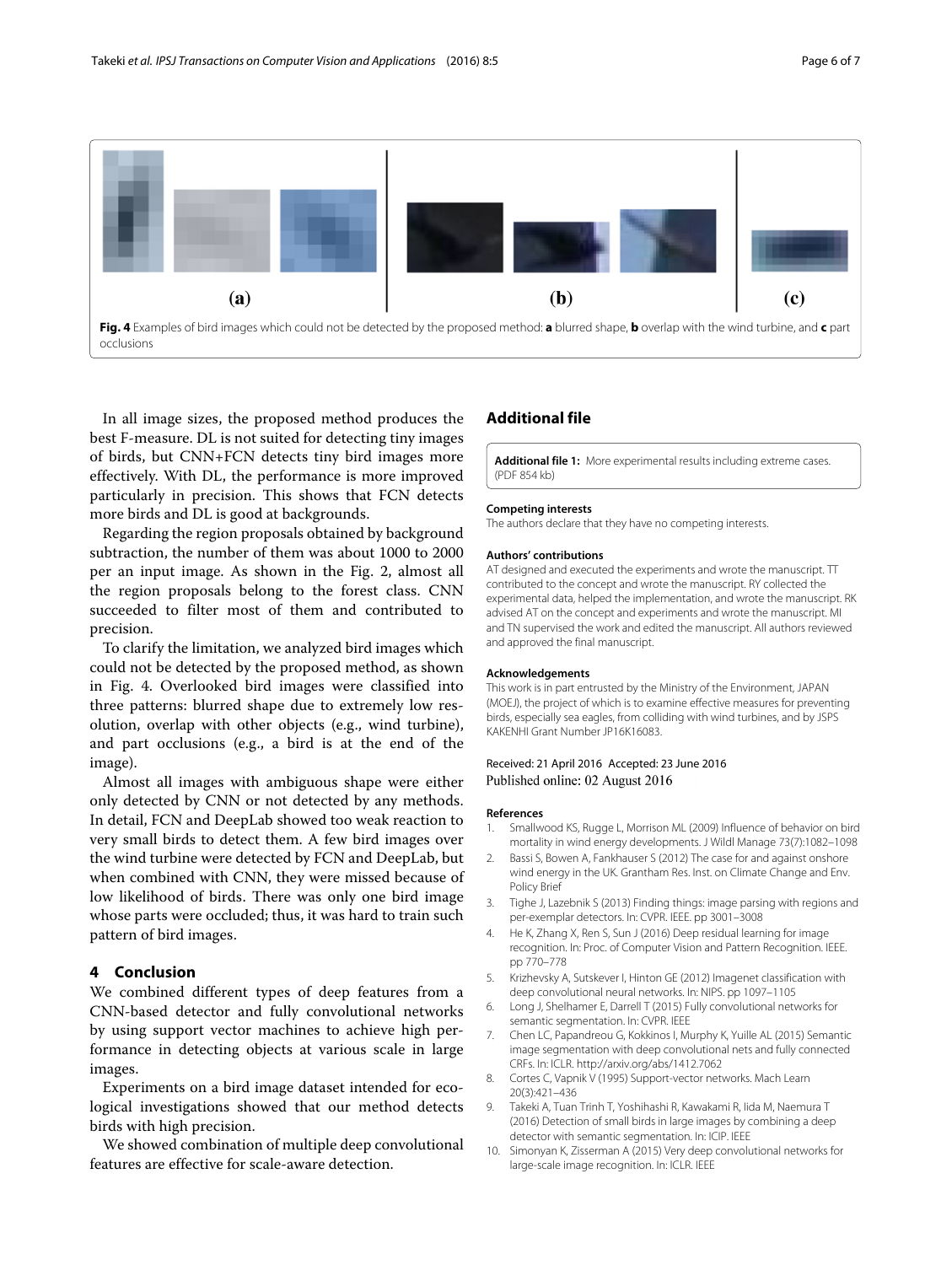

<span id="page-5-11"></span>In all image sizes, the proposed method produces the best F-measure. DL is not suited for detecting tiny images of birds, but CNN+FCN detects tiny bird images more effectively. With DL, the performance is more improved particularly in precision. This shows that FCN detects more birds and DL is good at backgrounds.

Regarding the region proposals obtained by background subtraction, the number of them was about 1000 to 2000 per an input image. As shown in the Fig. [2,](#page-2-0) almost all the region proposals belong to the forest class. CNN succeeded to filter most of them and contributed to precision.

To clarify the limitation, we analyzed bird images which could not be detected by the proposed method, as shown in Fig. [4.](#page-5-11) Overlooked bird images were classified into three patterns: blurred shape due to extremely low resolution, overlap with other objects (e.g., wind turbine), and part occlusions (e.g., a bird is at the end of the image).

Almost all images with ambiguous shape were either only detected by CNN or not detected by any methods. In detail, FCN and DeepLab showed too weak reaction to very small birds to detect them. A few bird images over the wind turbine were detected by FCN and DeepLab, but when combined with CNN, they were missed because of low likelihood of birds. There was only one bird image whose parts were occluded; thus, it was hard to train such pattern of bird images.

#### **4 Conclusion**

We combined different types of deep features from a CNN-based detector and fully convolutional networks by using support vector machines to achieve high performance in detecting objects at various scale in large images.

Experiments on a bird image dataset intended for ecological investigations showed that our method detects birds with high precision.

We showed combination of multiple deep convolutional features are effective for scale-aware detection.

# **Additional file**

<span id="page-5-10"></span>**[Additional file 1:](http://dx.doi.org/10.1186/s41074-016-0006-z)** More experimental results including extreme cases. (PDF 854 kb)

#### **Competing interests**

The authors declare that they have no competing interests.

#### **Authors' contributions**

AT designed and executed the experiments and wrote the manuscript. TT contributed to the concept and wrote the manuscript. RY collected the experimental data, helped the implementation, and wrote the manuscript. RK advised AT on the concept and experiments and wrote the manuscript. MI and TN supervised the work and edited the manuscript. All authors reviewed and approved the final manuscript.

#### **Acknowledgements**

This work is in part entrusted by the Ministry of the Environment, JAPAN (MOEJ), the project of which is to examine effective measures for preventing birds, especially sea eagles, from colliding with wind turbines, and by JSPS KAKENHI Grant Number JP16K16083.

#### Received: 21 April 2016 Accepted: 23 June 2016 Published online: 02 August 2016

#### **References**

- <span id="page-5-0"></span>1. Smallwood KS, Rugge L, Morrison ML (2009) Influence of behavior on bird mortality in wind energy developments. J Wildl Manage 73(7):1082–1098
- <span id="page-5-1"></span>2. Bassi S, Bowen A, Fankhauser S (2012) The case for and against onshore wind energy in the UK. Grantham Res. Inst. on Climate Change and Env. Policy Brief
- <span id="page-5-2"></span>3. Tighe J, Lazebnik S (2013) Finding things: image parsing with regions and per-exemplar detectors. In: CVPR. IEEE. pp 3001–3008
- <span id="page-5-3"></span>4. He K, Zhang X, Ren S, Sun J (2016) Deep residual learning for image recognition. In: Proc. of Computer Vision and Pattern Recognition. IEEE. pp 770–778
- <span id="page-5-4"></span>5. Krizhevsky A, Sutskever I, Hinton GE (2012) Imagenet classification with deep convolutional neural networks. In: NIPS. pp 1097–1105
- <span id="page-5-5"></span>6. Long J, Shelhamer E, Darrell T (2015) Fully convolutional networks for semantic segmentation. In: CVPR. IEEE
- <span id="page-5-6"></span>7. Chen LC, Papandreou G, Kokkinos I, Murphy K, Yuille AL (2015) Semantic image segmentation with deep convolutional nets and fully connected CRFs. In: ICLR.<http://arxiv.org/abs/1412.7062>
- <span id="page-5-7"></span>8. Cortes C, Vapnik V (1995) Support-vector networks. Mach Learn 20(3):421–436
- <span id="page-5-8"></span>9. Takeki A, Tuan Trinh T, Yoshihashi R, Kawakami R, Iida M, Naemura T (2016) Detection of small birds in large images by combining a deep detector with semantic segmentation. In: ICIP. IEEE
- <span id="page-5-9"></span>10. Simonyan K, Zisserman A (2015) Very deep convolutional networks for large-scale image recognition. In: ICLR. IEEE